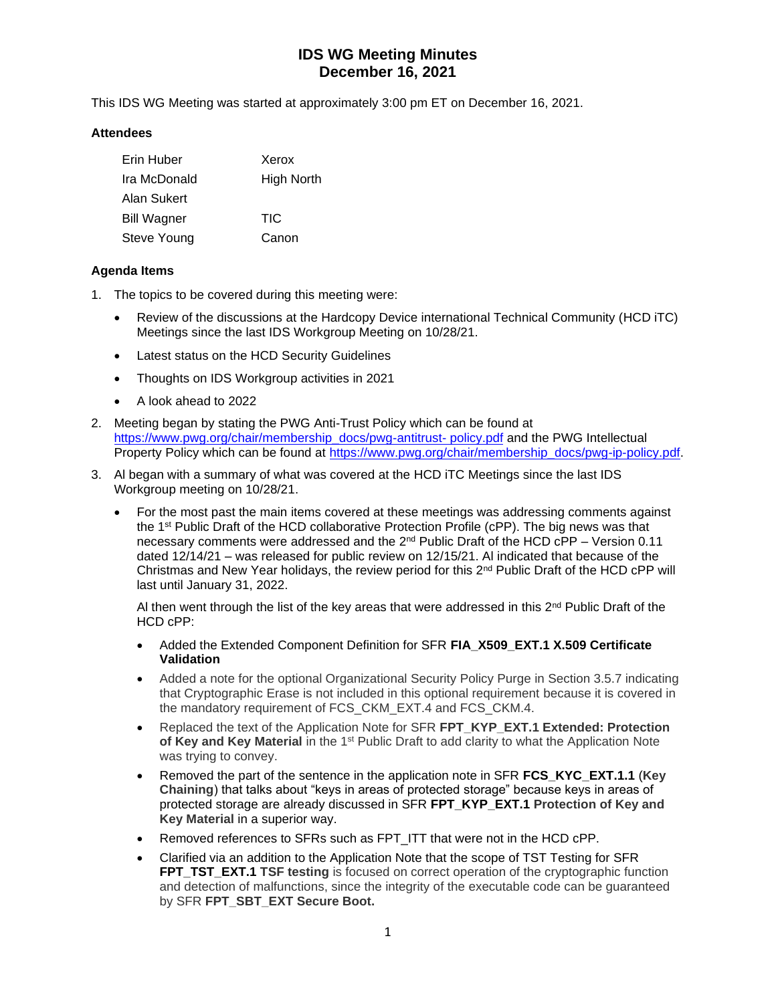This IDS WG Meeting was started at approximately 3:00 pm ET on December 16, 2021.

### **Attendees**

| Erin Huber         | Xerox             |
|--------------------|-------------------|
| Ira McDonald       | <b>High North</b> |
| Alan Sukert        |                   |
| <b>Bill Wagner</b> | <b>TIC</b>        |
| Steve Young        | Canon             |

### **Agenda Items**

- 1. The topics to be covered during this meeting were:
	- Review of the discussions at the Hardcopy Device international Technical Community (HCD iTC) Meetings since the last IDS Workgroup Meeting on 10/28/21.
	- Latest status on the HCD Security Guidelines
	- Thoughts on IDS Workgroup activities in 2021
	- A look ahead to 2022
- 2. Meeting began by stating the PWG Anti-Trust Policy which can be found at [https://www.pwg.org/chair/membership\\_docs/pwg-antitrust-](https://www.pwg.org/chair/membership_docs/pwg-antitrust-%20policy.pdf) policy.pdf and the PWG Intellectual Property Policy which can be found at [https://www.pwg.org/chair/membership\\_docs/pwg-ip-policy.pdf.](https://www.pwg.org/chair/membership_docs/pwg-ip-policy.pdf)
- 3. Al began with a summary of what was covered at the HCD iTC Meetings since the last IDS Workgroup meeting on 10/28/21.
	- For the most past the main items covered at these meetings was addressing comments against the 1<sup>st</sup> Public Draft of the HCD collaborative Protection Profile (cPP). The big news was that necessary comments were addressed and the 2<sup>nd</sup> Public Draft of the HCD cPP - Version 0.11 dated 12/14/21 – was released for public review on 12/15/21. Al indicated that because of the Christmas and New Year holidays, the review period for this 2<sup>nd</sup> Public Draft of the HCD cPP will last until January 31, 2022.

Al then went through the list of the key areas that were addressed in this 2<sup>nd</sup> Public Draft of the HCD cPP:

- Added the Extended Component Definition for SFR **FIA\_X509\_EXT.1 X.509 Certificate Validation**
- Added a note for the optional Organizational Security Policy Purge in Section 3.5.7 indicating that Cryptographic Erase is not included in this optional requirement because it is covered in the mandatory requirement of FCS\_CKM\_EXT.4 and FCS\_CKM.4.
- Replaced the text of the Application Note for SFR FPT KYP EXT.1 Extended: Protection of Key and Key Material in the 1<sup>st</sup> Public Draft to add clarity to what the Application Note was trying to convey.
- Removed the part of the sentence in the application note in SFR **FCS\_KYC\_EXT.1.1** (**Key Chaining**) that talks about "keys in areas of protected storage" because keys in areas of protected storage are already discussed in SFR **FPT\_KYP\_EXT.1 Protection of Key and Key Material** in a superior way.
- Removed references to SFRs such as FPT ITT that were not in the HCD cPP.
- Clarified via an addition to the Application Note that the scope of TST Testing for SFR **FPT TST EXT.1 TSF testing** is focused on correct operation of the cryptographic function and detection of malfunctions, since the integrity of the executable code can be guaranteed by SFR **FPT\_SBT\_EXT Secure Boot.**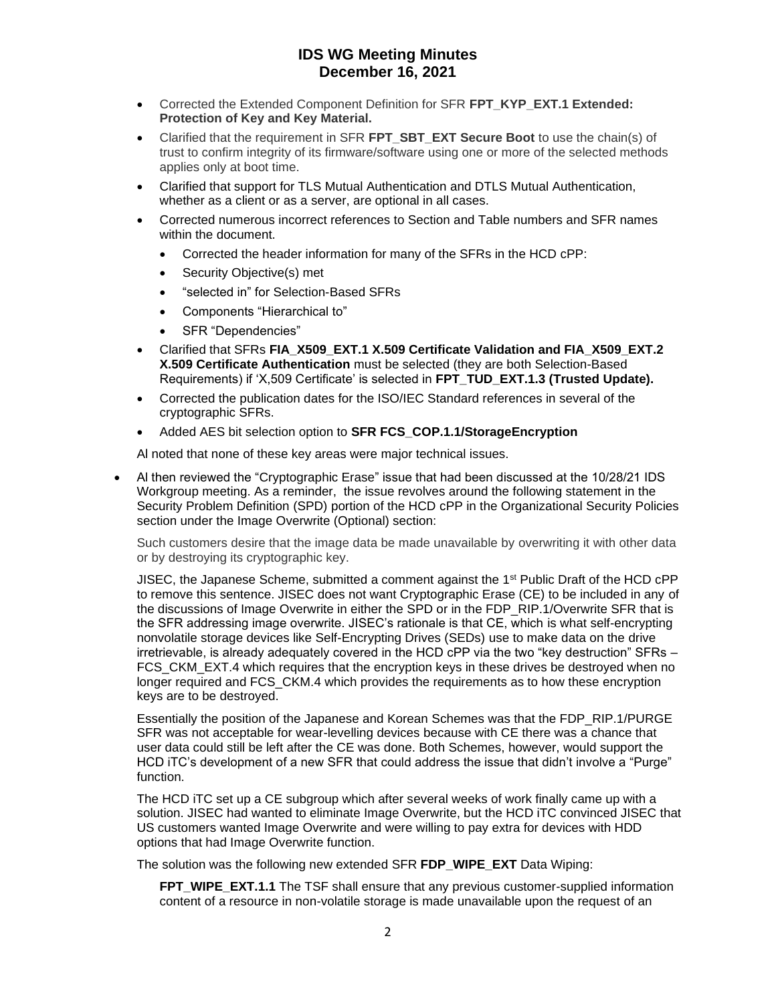- Corrected the Extended Component Definition for SFR FPT KYP EXT.1 Extended: **Protection of Key and Key Material.**
- Clarified that the requirement in SFR **FPT\_SBT\_EXT Secure Boot** to use the chain(s) of trust to confirm integrity of its firmware/software using one or more of the selected methods applies only at boot time.
- Clarified that support for TLS Mutual Authentication and DTLS Mutual Authentication, whether as a client or as a server, are optional in all cases.
- Corrected numerous incorrect references to Section and Table numbers and SFR names within the document.
	- Corrected the header information for many of the SFRs in the HCD cPP:
	- Security Objective(s) met
	- "selected in" for Selection-Based SFRs
	- Components "Hierarchical to"
	- SFR "Dependencies"
- Clarified that SFRs **FIA\_X509\_EXT.1 X.509 Certificate Validation and FIA\_X509\_EXT.2 X.509 Certificate Authentication** must be selected (they are both Selection-Based Requirements) if 'X,509 Certificate' is selected in **FPT\_TUD\_EXT.1.3 (Trusted Update).**
- Corrected the publication dates for the ISO/IEC Standard references in several of the cryptographic SFRs.
- Added AES bit selection option to **SFR FCS\_COP.1.1/StorageEncryption**

Al noted that none of these key areas were major technical issues.

• Al then reviewed the "Cryptographic Erase" issue that had been discussed at the 10/28/21 IDS Workgroup meeting. As a reminder, the issue revolves around the following statement in the Security Problem Definition (SPD) portion of the HCD cPP in the Organizational Security Policies section under the Image Overwrite (Optional) section:

Such customers desire that the image data be made unavailable by overwriting it with other data or by destroying its cryptographic key.

JISEC, the Japanese Scheme, submitted a comment against the  $1<sup>st</sup>$  Public Draft of the HCD cPP to remove this sentence. JISEC does not want Cryptographic Erase (CE) to be included in any of the discussions of Image Overwrite in either the SPD or in the FDP\_RIP.1/Overwrite SFR that is the SFR addressing image overwrite. JISEC's rationale is that CE, which is what self-encrypting nonvolatile storage devices like Self-Encrypting Drives (SEDs) use to make data on the drive irretrievable, is already adequately covered in the HCD cPP via the two "key destruction" SFRs – FCS CKM EXT.4 which requires that the encryption keys in these drives be destroyed when no longer required and FCS CKM.4 which provides the requirements as to how these encryption keys are to be destroyed.

Essentially the position of the Japanese and Korean Schemes was that the FDP\_RIP.1/PURGE SFR was not acceptable for wear-levelling devices because with CE there was a chance that user data could still be left after the CE was done. Both Schemes, however, would support the HCD iTC's development of a new SFR that could address the issue that didn't involve a "Purge" function.

The HCD iTC set up a CE subgroup which after several weeks of work finally came up with a solution. JISEC had wanted to eliminate Image Overwrite, but the HCD iTC convinced JISEC that US customers wanted Image Overwrite and were willing to pay extra for devices with HDD options that had Image Overwrite function.

The solution was the following new extended SFR **FDP\_WIPE\_EXT** Data Wiping:

**FPT\_WIPE\_EXT.1.1** The TSF shall ensure that any previous customer-supplied information content of a resource in non-volatile storage is made unavailable upon the request of an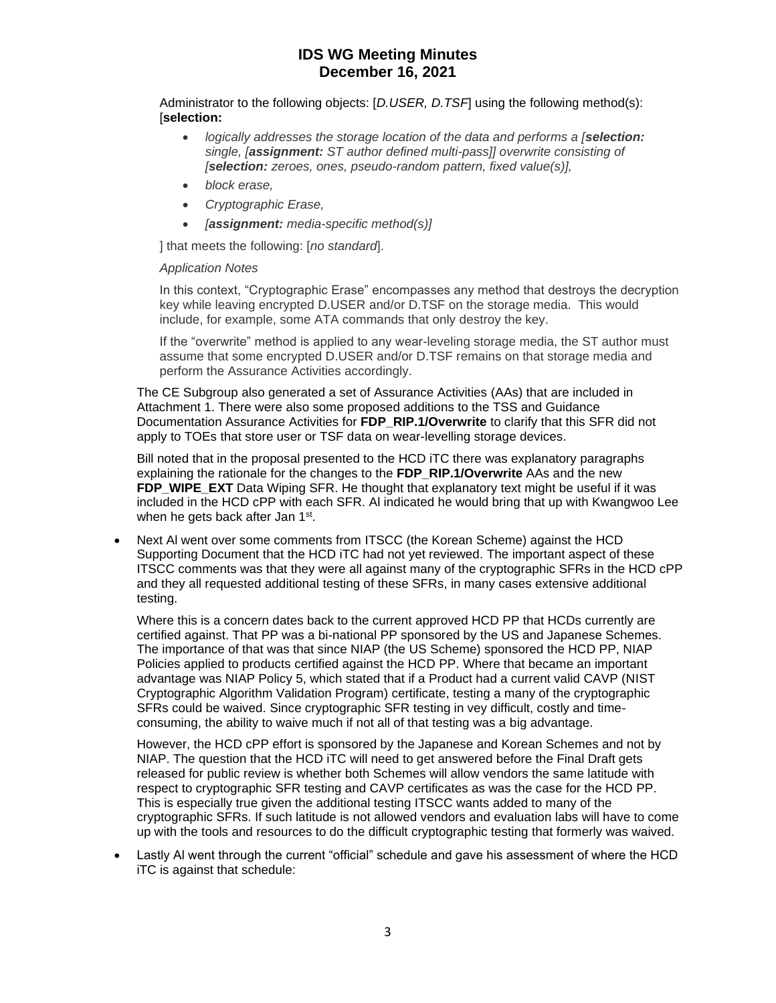Administrator to the following objects: [*D.USER, D.TSF*] using the following method(s): [**selection:**

- *logically addresses the storage location of the data and performs a [selection: single, [assignment: ST author defined multi-pass]] overwrite consisting of [selection: zeroes, ones, pseudo-random pattern, fixed value(s)],*
- *block erase,*
- *Cryptographic Erase,*
- *[assignment: media-specific method(s)]*

] that meets the following: [*no standard*].

### *Application Notes*

In this context, "Cryptographic Erase" encompasses any method that destroys the decryption key while leaving encrypted D.USER and/or D.TSF on the storage media. This would include, for example, some ATA commands that only destroy the key.

If the "overwrite" method is applied to any wear-leveling storage media, the ST author must assume that some encrypted D.USER and/or D.TSF remains on that storage media and perform the Assurance Activities accordingly.

The CE Subgroup also generated a set of Assurance Activities (AAs) that are included in Attachment 1. There were also some proposed additions to the TSS and Guidance Documentation Assurance Activities for **FDP\_RIP.1/Overwrite** to clarify that this SFR did not apply to TOEs that store user or TSF data on wear-levelling storage devices.

Bill noted that in the proposal presented to the HCD iTC there was explanatory paragraphs explaining the rationale for the changes to the **FDP\_RIP.1/Overwrite** AAs and the new **FDP\_WIPE\_EXT** Data Wiping SFR. He thought that explanatory text might be useful if it was included in the HCD cPP with each SFR. Al indicated he would bring that up with Kwangwoo Lee when he gets back after Jan 1st.

• Next Al went over some comments from ITSCC (the Korean Scheme) against the HCD Supporting Document that the HCD iTC had not yet reviewed. The important aspect of these ITSCC comments was that they were all against many of the cryptographic SFRs in the HCD cPP and they all requested additional testing of these SFRs, in many cases extensive additional testing.

Where this is a concern dates back to the current approved HCD PP that HCDs currently are certified against. That PP was a bi-national PP sponsored by the US and Japanese Schemes. The importance of that was that since NIAP (the US Scheme) sponsored the HCD PP, NIAP Policies applied to products certified against the HCD PP. Where that became an important advantage was NIAP Policy 5, which stated that if a Product had a current valid CAVP (NIST Cryptographic Algorithm Validation Program) certificate, testing a many of the cryptographic SFRs could be waived. Since cryptographic SFR testing in vey difficult, costly and timeconsuming, the ability to waive much if not all of that testing was a big advantage.

However, the HCD cPP effort is sponsored by the Japanese and Korean Schemes and not by NIAP. The question that the HCD iTC will need to get answered before the Final Draft gets released for public review is whether both Schemes will allow vendors the same latitude with respect to cryptographic SFR testing and CAVP certificates as was the case for the HCD PP. This is especially true given the additional testing ITSCC wants added to many of the cryptographic SFRs. If such latitude is not allowed vendors and evaluation labs will have to come up with the tools and resources to do the difficult cryptographic testing that formerly was waived.

• Lastly Al went through the current "official" schedule and gave his assessment of where the HCD iTC is against that schedule: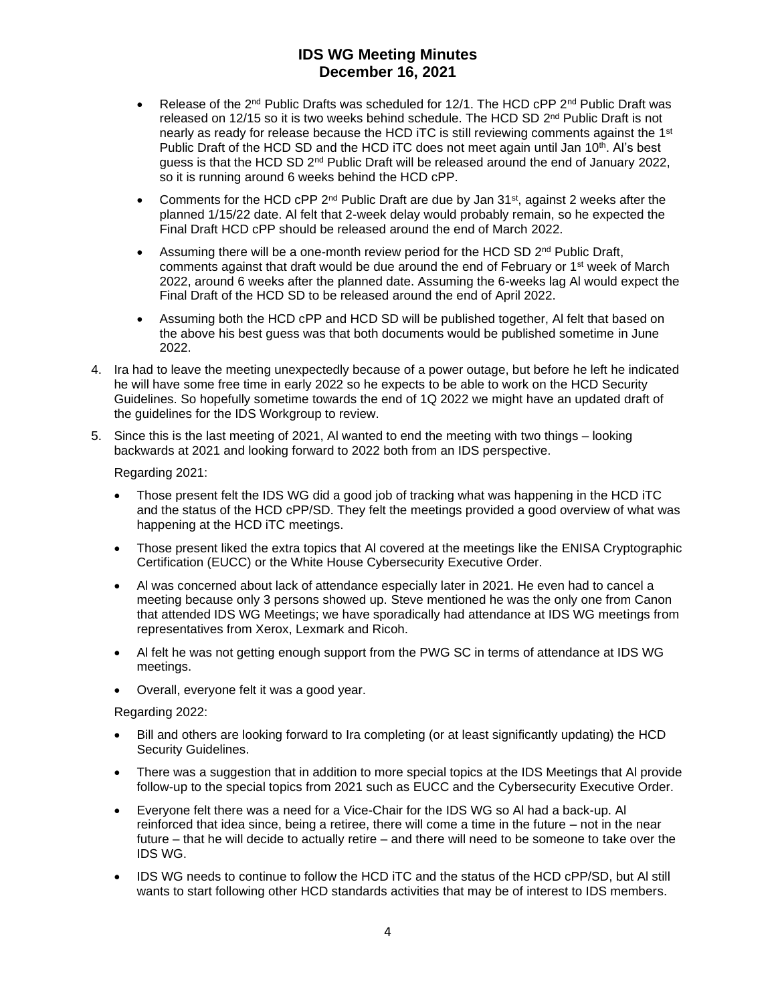- Release of the 2<sup>nd</sup> Public Drafts was scheduled for 12/1. The HCD cPP 2<sup>nd</sup> Public Draft was released on 12/15 so it is two weeks behind schedule. The HCD SD 2<sup>nd</sup> Public Draft is not nearly as ready for release because the HCD iTC is still reviewing comments against the 1<sup>st</sup> Public Draft of the HCD SD and the HCD iTC does not meet again until Jan 10<sup>th</sup>. Al's best guess is that the HCD SD 2<sup>nd</sup> Public Draft will be released around the end of January 2022, so it is running around 6 weeks behind the HCD cPP.
- Comments for the HCD cPP  $2^{nd}$  Public Draft are due by Jan  $31^{st}$ , against 2 weeks after the planned 1/15/22 date. Al felt that 2-week delay would probably remain, so he expected the Final Draft HCD cPP should be released around the end of March 2022.
- Assuming there will be a one-month review period for the HCD SD 2<sup>nd</sup> Public Draft, comments against that draft would be due around the end of February or 1<sup>st</sup> week of March 2022, around 6 weeks after the planned date. Assuming the 6-weeks lag Al would expect the Final Draft of the HCD SD to be released around the end of April 2022.
- Assuming both the HCD cPP and HCD SD will be published together, Al felt that based on the above his best guess was that both documents would be published sometime in June 2022.
- 4. Ira had to leave the meeting unexpectedly because of a power outage, but before he left he indicated he will have some free time in early 2022 so he expects to be able to work on the HCD Security Guidelines. So hopefully sometime towards the end of 1Q 2022 we might have an updated draft of the guidelines for the IDS Workgroup to review.
- 5. Since this is the last meeting of 2021, Al wanted to end the meeting with two things looking backwards at 2021 and looking forward to 2022 both from an IDS perspective.

Regarding 2021:

- Those present felt the IDS WG did a good job of tracking what was happening in the HCD iTC and the status of the HCD cPP/SD. They felt the meetings provided a good overview of what was happening at the HCD iTC meetings.
- Those present liked the extra topics that Al covered at the meetings like the ENISA Cryptographic Certification (EUCC) or the White House Cybersecurity Executive Order.
- Al was concerned about lack of attendance especially later in 2021. He even had to cancel a meeting because only 3 persons showed up. Steve mentioned he was the only one from Canon that attended IDS WG Meetings; we have sporadically had attendance at IDS WG meetings from representatives from Xerox, Lexmark and Ricoh.
- Al felt he was not getting enough support from the PWG SC in terms of attendance at IDS WG meetings.
- Overall, everyone felt it was a good year.

Regarding 2022:

- Bill and others are looking forward to Ira completing (or at least significantly updating) the HCD Security Guidelines.
- There was a suggestion that in addition to more special topics at the IDS Meetings that Al provide follow-up to the special topics from 2021 such as EUCC and the Cybersecurity Executive Order.
- Everyone felt there was a need for a Vice-Chair for the IDS WG so Al had a back-up. Al reinforced that idea since, being a retiree, there will come a time in the future – not in the near future – that he will decide to actually retire – and there will need to be someone to take over the IDS WG.
- IDS WG needs to continue to follow the HCD iTC and the status of the HCD cPP/SD, but Al still wants to start following other HCD standards activities that may be of interest to IDS members.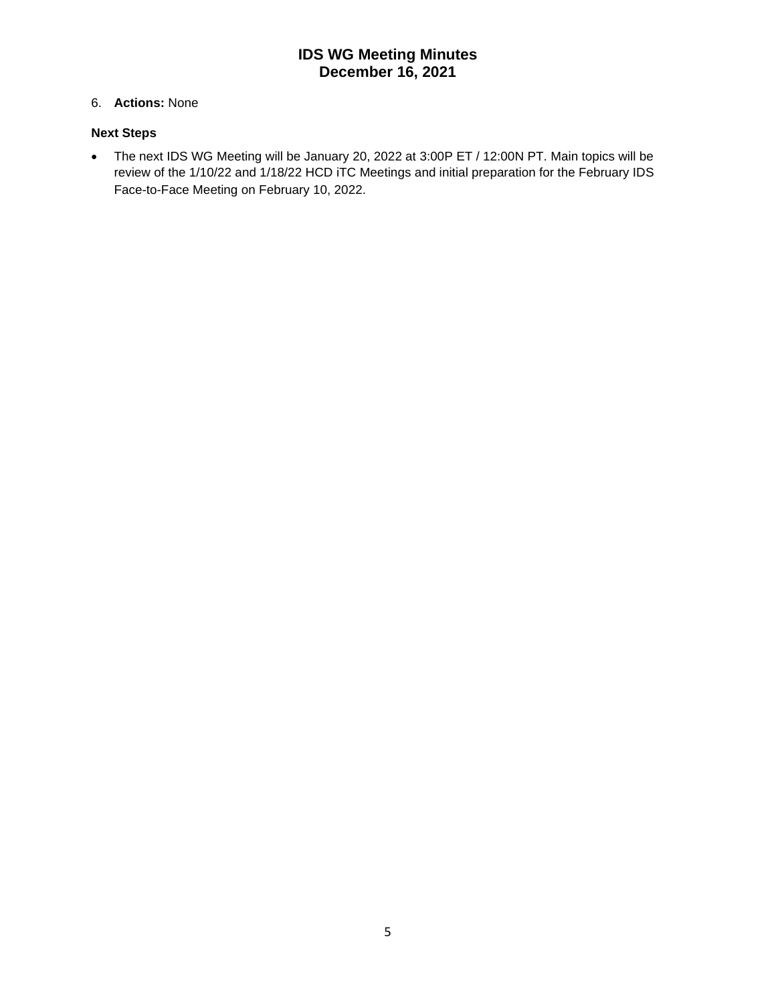### 6. **Actions:** None

### **Next Steps**

• The next IDS WG Meeting will be January 20, 2022 at 3:00P ET / 12:00N PT. Main topics will be review of the 1/10/22 and 1/18/22 HCD iTC Meetings and initial preparation for the February IDS Face-to-Face Meeting on February 10, 2022.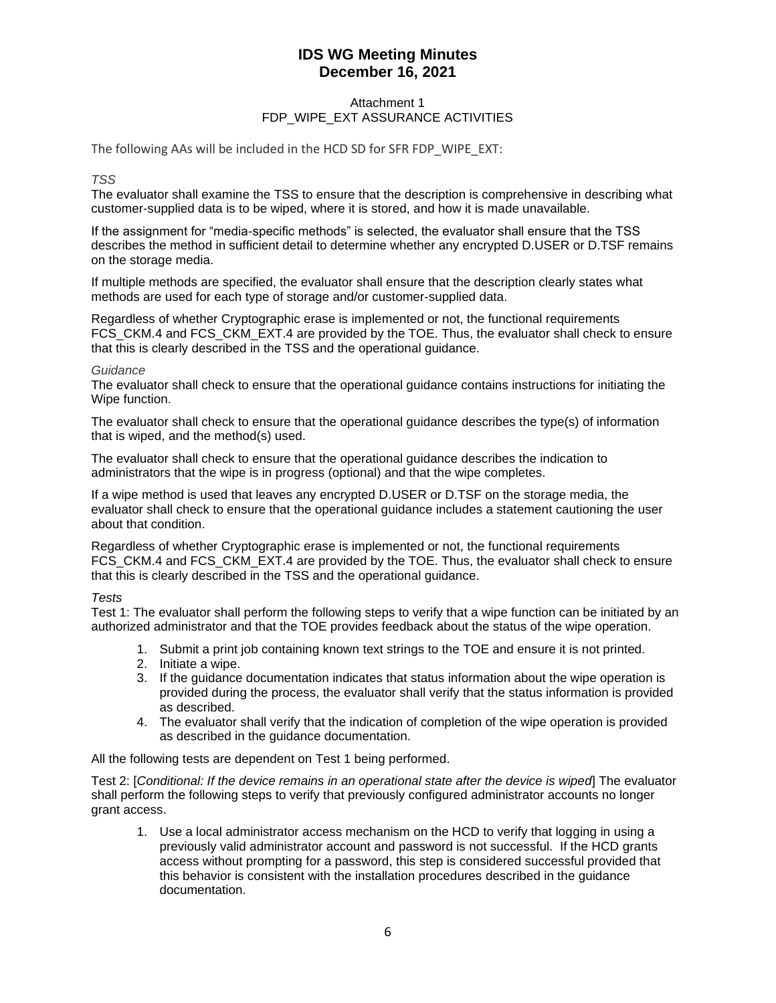### Attachment 1 FDP\_WIPE\_EXT ASSURANCE ACTIVITIES

The following AAs will be included in the HCD SD for SFR FDP\_WIPE\_EXT:

### *TSS*

The evaluator shall examine the TSS to ensure that the description is comprehensive in describing what customer-supplied data is to be wiped, where it is stored, and how it is made unavailable.

If the assignment for "media-specific methods" is selected, the evaluator shall ensure that the TSS describes the method in sufficient detail to determine whether any encrypted D.USER or D.TSF remains on the storage media.

If multiple methods are specified, the evaluator shall ensure that the description clearly states what methods are used for each type of storage and/or customer-supplied data.

Regardless of whether Cryptographic erase is implemented or not, the functional requirements FCS CKM.4 and FCS CKM EXT.4 are provided by the TOE. Thus, the evaluator shall check to ensure that this is clearly described in the TSS and the operational guidance.

### *Guidance*

The evaluator shall check to ensure that the operational guidance contains instructions for initiating the Wipe function.

The evaluator shall check to ensure that the operational guidance describes the type(s) of information that is wiped, and the method(s) used.

The evaluator shall check to ensure that the operational guidance describes the indication to administrators that the wipe is in progress (optional) and that the wipe completes.

If a wipe method is used that leaves any encrypted D.USER or D.TSF on the storage media, the evaluator shall check to ensure that the operational guidance includes a statement cautioning the user about that condition.

Regardless of whether Cryptographic erase is implemented or not, the functional requirements FCS CKM.4 and FCS CKM EXT.4 are provided by the TOE. Thus, the evaluator shall check to ensure that this is clearly described in the TSS and the operational guidance.

### *Tests*

Test 1: The evaluator shall perform the following steps to verify that a wipe function can be initiated by an authorized administrator and that the TOE provides feedback about the status of the wipe operation.

- 1. Submit a print job containing known text strings to the TOE and ensure it is not printed.
- 2. Initiate a wipe.
- 3. If the guidance documentation indicates that status information about the wipe operation is provided during the process, the evaluator shall verify that the status information is provided as described.
- 4. The evaluator shall verify that the indication of completion of the wipe operation is provided as described in the guidance documentation.

All the following tests are dependent on Test 1 being performed.

Test 2: [*Conditional: If the device remains in an operational state after the device is wiped*] The evaluator shall perform the following steps to verify that previously configured administrator accounts no longer grant access.

1. Use a local administrator access mechanism on the HCD to verify that logging in using a previously valid administrator account and password is not successful. If the HCD grants access without prompting for a password, this step is considered successful provided that this behavior is consistent with the installation procedures described in the guidance documentation.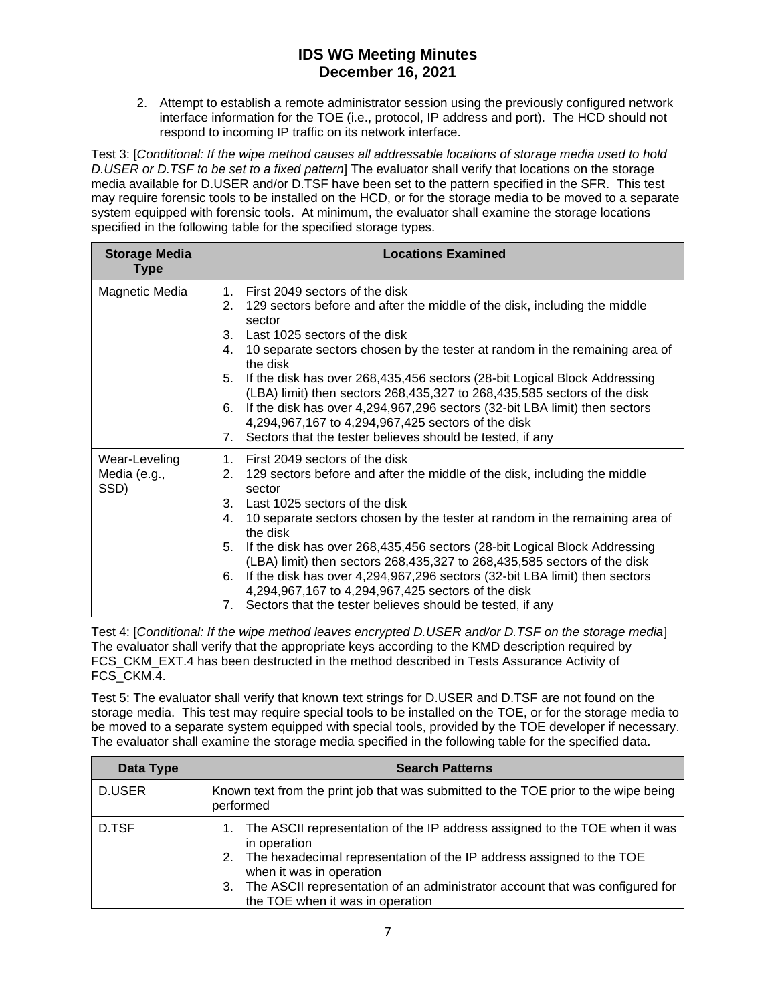2. Attempt to establish a remote administrator session using the previously configured network interface information for the TOE (i.e., protocol, IP address and port). The HCD should not respond to incoming IP traffic on its network interface.

Test 3: [*Conditional: If the wipe method causes all addressable locations of storage media used to hold D.USER or D.TSF to be set to a fixed pattern*] The evaluator shall verify that locations on the storage media available for D.USER and/or D.TSF have been set to the pattern specified in the SFR. This test may require forensic tools to be installed on the HCD, or for the storage media to be moved to a separate system equipped with forensic tools. At minimum, the evaluator shall examine the storage locations specified in the following table for the specified storage types.

| <b>Storage Media</b><br><b>Type</b>   | <b>Locations Examined</b>                                                                                                                                                                                                                                                                                                                                                                                                                                                                                                                                                                                                           |
|---------------------------------------|-------------------------------------------------------------------------------------------------------------------------------------------------------------------------------------------------------------------------------------------------------------------------------------------------------------------------------------------------------------------------------------------------------------------------------------------------------------------------------------------------------------------------------------------------------------------------------------------------------------------------------------|
| Magnetic Media                        | 1. First 2049 sectors of the disk<br>2. 129 sectors before and after the middle of the disk, including the middle<br>sector<br>3. Last 1025 sectors of the disk<br>10 separate sectors chosen by the tester at random in the remaining area of<br>4.<br>the disk<br>5. If the disk has over 268,435,456 sectors (28-bit Logical Block Addressing<br>(LBA) limit) then sectors 268,435,327 to 268,435,585 sectors of the disk<br>6. If the disk has over 4,294,967,296 sectors (32-bit LBA limit) then sectors<br>4,294,967,167 to 4,294,967,425 sectors of the disk<br>7. Sectors that the tester believes should be tested, if any |
| Wear-Leveling<br>Media (e.g.,<br>SSD) | 1. First 2049 sectors of the disk<br>2. 129 sectors before and after the middle of the disk, including the middle<br>sector<br>3. Last 1025 sectors of the disk<br>10 separate sectors chosen by the tester at random in the remaining area of<br>4.<br>the disk<br>5. If the disk has over 268,435,456 sectors (28-bit Logical Block Addressing<br>(LBA) limit) then sectors 268,435,327 to 268,435,585 sectors of the disk<br>6. If the disk has over 4,294,967,296 sectors (32-bit LBA limit) then sectors<br>4,294,967,167 to 4,294,967,425 sectors of the disk<br>7. Sectors that the tester believes should be tested, if any |

Test 4: [*Conditional: If the wipe method leaves encrypted D.USER and/or D.TSF on the storage media*] The evaluator shall verify that the appropriate keys according to the KMD description required by FCS\_CKM\_EXT.4 has been destructed in the method described in Tests Assurance Activity of FCS\_CKM.4.

Test 5: The evaluator shall verify that known text strings for D.USER and D.TSF are not found on the storage media. This test may require special tools to be installed on the TOE, or for the storage media to be moved to a separate system equipped with special tools, provided by the TOE developer if necessary. The evaluator shall examine the storage media specified in the following table for the specified data.

| Data Type | <b>Search Patterns</b>                                                                                                                                                                                                                                                                                                      |
|-----------|-----------------------------------------------------------------------------------------------------------------------------------------------------------------------------------------------------------------------------------------------------------------------------------------------------------------------------|
| D.USER    | Known text from the print job that was submitted to the TOE prior to the wipe being<br>performed                                                                                                                                                                                                                            |
| D.TSF     | 1. The ASCII representation of the IP address assigned to the TOE when it was<br>in operation<br>2. The hexadecimal representation of the IP address assigned to the TOE<br>when it was in operation<br>3. The ASCII representation of an administrator account that was configured for<br>the TOE when it was in operation |